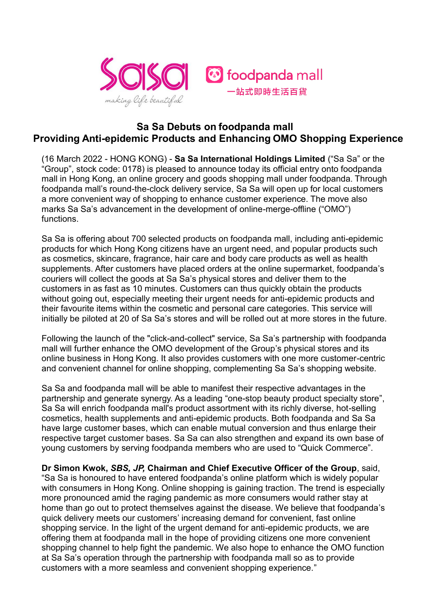

## **Sa Sa Debuts on foodpanda mall Providing Anti-epidemic Products and Enhancing OMO Shopping Experience**

(16 March 2022 - HONG KONG) - **Sa Sa International Holdings Limited** ("Sa Sa" or the "Group", stock code: 0178) is pleased to announce today its official entry onto foodpanda mall in Hong Kong, an online grocery and goods shopping mall under foodpanda. Through foodpanda mall's round-the-clock delivery service, Sa Sa will open up for local customers a more convenient way of shopping to enhance customer experience. The move also marks Sa Sa's advancement in the development of online-merge-offline ("OMO") functions.

Sa Sa is offering about 700 selected products on foodpanda mall, including anti-epidemic products for which Hong Kong citizens have an urgent need, and popular products such as cosmetics, skincare, fragrance, hair care and body care products as well as health supplements. After customers have placed orders at the online supermarket, foodpanda's couriers will collect the goods at Sa Sa's physical stores and deliver them to the customers in as fast as 10 minutes. Customers can thus quickly obtain the products without going out, especially meeting their urgent needs for anti-epidemic products and their favourite items within the cosmetic and personal care categories. This service will initially be piloted at 20 of Sa Sa's stores and will be rolled out at more stores in the future.

Following the launch of the "click-and-collect" service, Sa Sa's partnership with foodpanda mall will further enhance the OMO development of the Group's physical stores and its online business in Hong Kong. It also provides customers with one more customer-centric and convenient channel for online shopping, complementing Sa Sa's shopping website.

Sa Sa and foodpanda mall will be able to manifest their respective advantages in the partnership and generate synergy. As a leading "one-stop beauty product specialty store", Sa Sa will enrich foodpanda mall's product assortment with its richly diverse, hot-selling cosmetics, health supplements and anti-epidemic products. Both foodpanda and Sa Sa have large customer bases, which can enable mutual conversion and thus enlarge their respective target customer bases. Sa Sa can also strengthen and expand its own base of young customers by serving foodpanda members who are used to "Quick Commerce".

**Dr Simon Kwok,** *SBS, JP,* **Chairman and Chief Executive Officer of the Group**, said, "Sa Sa is honoured to have entered foodpanda's online platform which is widely popular with consumers in Hong Kong. Online shopping is gaining traction. The trend is especially more pronounced amid the raging pandemic as more consumers would rather stay at home than go out to protect themselves against the disease. We believe that foodpanda's quick delivery meets our customers' increasing demand for convenient, fast online shopping service. In the light of the urgent demand for anti-epidemic products, we are offering them at foodpanda mall in the hope of providing citizens one more convenient shopping channel to help fight the pandemic. We also hope to enhance the OMO function at Sa Sa's operation through the partnership with foodpanda mall so as to provide customers with a more seamless and convenient shopping experience."